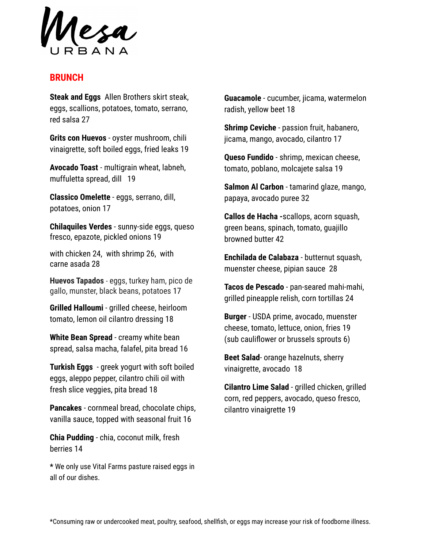

# **BRUNCH**

**Steak and Eggs** Allen Brothers skirt steak, eggs, scallions, potatoes, tomato, serrano, red salsa 27

**Grits con Huevos** - oyster mushroom, chili vinaigrette, soft boiled eggs, fried leaks 19

**Avocado Toast** - multigrain wheat, labneh, muffuletta spread, dill 19

**Classico Omelette** - eggs, serrano, dill, potatoes, onion 17

**Chilaquiles Verdes** - sunny-side eggs, queso fresco, epazote, pickled onions 19

with chicken 24, with shrimp 26, with carne asada 28

**Huevos Tapados** - eggs, turkey ham, pico de gallo, munster, black beans, potatoes 17

**Grilled Halloumi** - grilled cheese, heirloom tomato, lemon oil cilantro dressing 18

**White Bean Spread** - creamy white bean spread, salsa macha, falafel, pita bread 16

**Turkish Eggs** - greek yogurt with soft boiled eggs, aleppo pepper, cilantro chili oil with fresh slice veggies, pita bread 18

**Pancakes** - cornmeal bread, chocolate chips, vanilla sauce, topped with seasonal fruit 16

**Chia Pudding** - chia, coconut milk, fresh berries 14

**\*** We only use Vital Farms pasture raised eggs in all of our dishes.

**Guacamole** - cucumber, jicama, watermelon radish, yellow beet 18

**Shrimp Ceviche** - passion fruit, habanero, jicama, mango, avocado, cilantro 17

**Queso Fundido** - shrimp, mexican cheese, tomato, poblano, molcajete salsa 19

**Salmon Al Carbon** - tamarind glaze, mango, papaya, avocado puree 32

**Callos de Hacha -**scallops, acorn squash, green beans, spinach, tomato, guajillo browned butter 42

**Enchilada de Calabaza** - butternut squash, muenster cheese, pipian sauce 28

**Tacos de Pescado** - pan-seared mahi-mahi, grilled pineapple relish, corn tortillas 24

**Burger** - USDA prime, avocado, muenster cheese, tomato, lettuce, onion, fries 19 (sub cauliflower or brussels sprouts 6)

**Beet Salad**- orange hazelnuts, sherry vinaigrette, avocado 18

**Cilantro Lime Salad** - grilled chicken, grilled corn, red peppers, avocado, queso fresco, cilantro vinaigrette 19